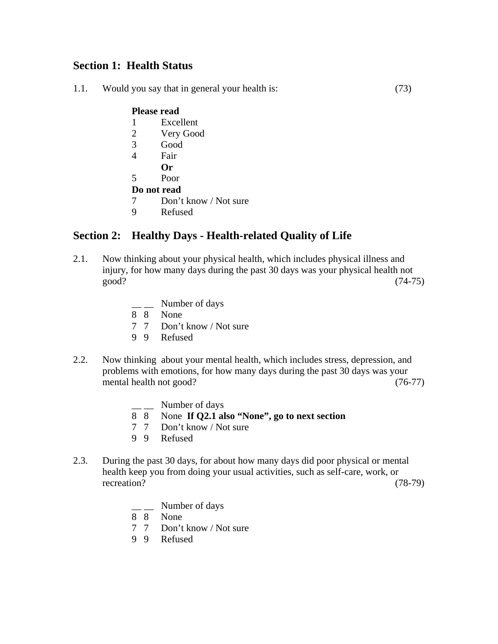## **Section 1: Health Status**

1.1. Would you say that in general your health is: (73)

#### **Please read**

- 1 Excellent
- 2 Very Good
- 3 Good
- 4 Fair
	- **Or**
- 5 Poor

### **Do not read**

- 7 Don't know / Not sure
- 9 Refused

## **Section 2: Healthy Days - Health-related Quality of Life**

- 2.1. Now thinking about your physical health, which includes physical illness and injury, for how many days during the past 30 days was your physical health not good? (74-75)
	- $\frac{1}{2}$  Number of days
	- 8 8 None
	- 7 7 Don't know / Not sure
	- 9 9 Refused
- 2.2. Now thinking about your mental health, which includes stress, depression, and problems with emotions, for how many days during the past 30 days was your mental health not good? (76-77)
	- Number of days
	- 8 8 None **If Q2.1 also "None", go to next section**
	- 7 7 Don't know / Not sure
	- 9 9 Refused
- 2.3. During the past 30 days, for about how many days did poor physical or mental health keep you from doing your usual activities, such as self-care, work, or recreation? (78-79)
	- $\frac{1}{2}$  Number of days
	- 8 8 None
	- 7 7 Don't know / Not sure
	- 9 9 Refused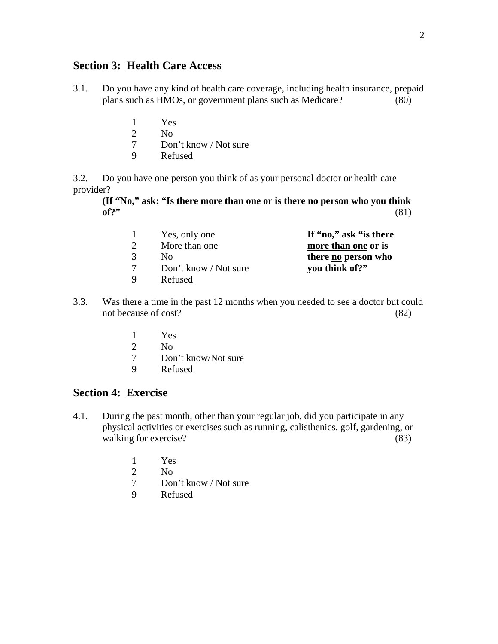### **Section 3: Health Care Access**

- 3.1. Do you have any kind of health care coverage, including health insurance, prepaid plans such as HMOs, or government plans such as Medicare? (80)
	- 1 Yes
	- 2 No
	- 7 Don't know / Not sure
	- 9 Refused

3.2. Do you have one person you think of as your personal doctor or health care provider?

**(If "No," ask: "Is there more than one or is there no person who you think of?"** (81)

|  | Yes, only one         | If "no," ask "is there |
|--|-----------------------|------------------------|
|  | More than one         | more than one or is    |
|  | Nο                    | there no person who    |
|  | Don't know / Not sure | you think of?"         |
|  | Refused               |                        |

- 3.3. Was there a time in the past 12 months when you needed to see a doctor but could not because of cost? (82)
	- 1 Yes
	- 2 No
	- 7 Don't know/Not sure
	- 9 Refused

## **Section 4: Exercise**

- 4.1. During the past month, other than your regular job, did you participate in any physical activities or exercises such as running, calisthenics, golf, gardening, or walking for exercise? (83)
	- 1 Yes
	- 2 No
	- 7 Don't know / Not sure
	- 9 Refused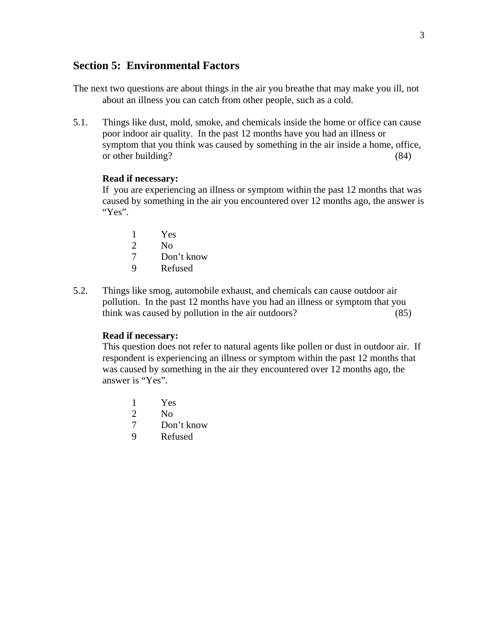### **Section 5: Environmental Factors**

- The next two questions are about things in the air you breathe that may make you ill, not about an illness you can catch from other people, such as a cold.
- 5.1. Things like dust, mold, smoke, and chemicals inside the home or office can cause poor indoor air quality. In the past 12 months have you had an illness or symptom that you think was caused by something in the air inside a home, office, or other building? (84)

#### **Read if necessary:**

 If you are experiencing an illness or symptom within the past 12 months that was caused by something in the air you encountered over 12 months ago, the answer is "Yes".

- 1 Yes
- 2 No
- 7 Don't know
- 9 Refused
- 5.2. Things like smog, automobile exhaust, and chemicals can cause outdoor air pollution. In the past 12 months have you had an illness or symptom that you think was caused by pollution in the air outdoors? (85)

### **Read if necessary:**

 This question does not refer to natural agents like pollen or dust in outdoor air. If respondent is experiencing an illness or symptom within the past 12 months that was caused by something in the air they encountered over 12 months ago, the answer is "Yes".

- 1 Yes
- 2 No
- 7 Don't know
- 9 Refused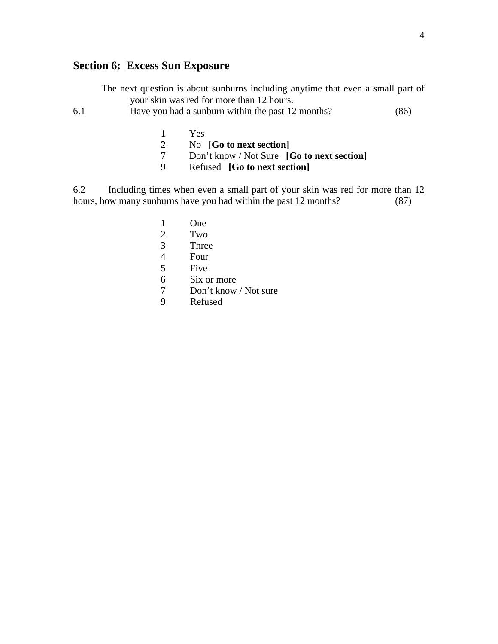## **Section 6: Excess Sun Exposure**

The next question is about sunburns including anytime that even a small part of your skin was red for more than 12 hours.

6.1 Have you had a sunburn within the past 12 months? (86)

- 1 Yes
- 2 No **[Go to next section]**
- 7 Don't know / Not Sure **[Go to next section]**
- 9 Refused **[Go to next section]**

6.2 Including times when even a small part of your skin was red for more than 12 hours, how many sunburns have you had within the past 12 months? (87)

- 1 One
- 2 Two
- 3 Three
- 4 Four
- 5 Five
- 6 Six or more
- 7 Don't know / Not sure
- 9 Refused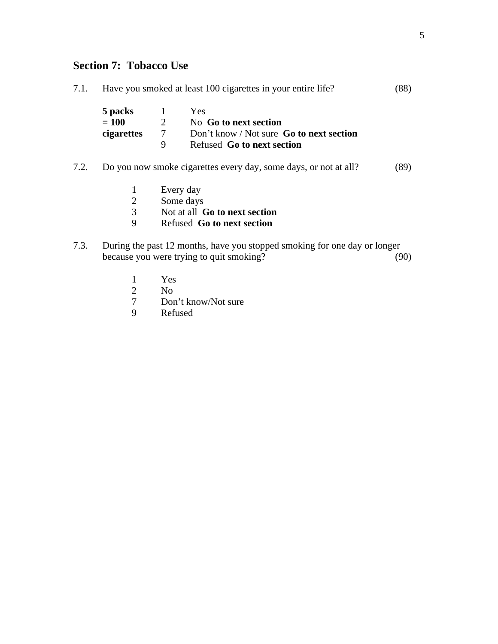# **Section 7: Tobacco Use**

| 7.1. | Have you smoked at least 100 cigarettes in your entire life?<br>(88) |                |                                                                           |      |
|------|----------------------------------------------------------------------|----------------|---------------------------------------------------------------------------|------|
|      | 5 packs                                                              | $\mathbf{1}$   | Yes                                                                       |      |
|      | $= 100$                                                              | $\overline{2}$ | No Go to next section                                                     |      |
|      | cigarettes                                                           | $\tau$         | Don't know / Not sure Go to next section                                  |      |
|      |                                                                      | 9              | Refused Go to next section                                                |      |
| 7.2. |                                                                      |                | Do you now smoke cigarettes every day, some days, or not at all?          | (89) |
|      | 1                                                                    |                | Every day                                                                 |      |
|      | $\overline{2}$                                                       |                | Some days                                                                 |      |
|      | 3                                                                    |                | Not at all <b>Go to next section</b>                                      |      |
|      | 9                                                                    |                | Refused Go to next section                                                |      |
| 7.3. |                                                                      |                | During the past 12 months, have you stopped smoking for one day or longer |      |
|      |                                                                      |                | because you were trying to quit smoking?                                  | (90) |
|      | 1                                                                    | Yes            |                                                                           |      |

- 2 No<br>7 Dor
- 7 Don't know/Not sure<br>9 Refused
- Refused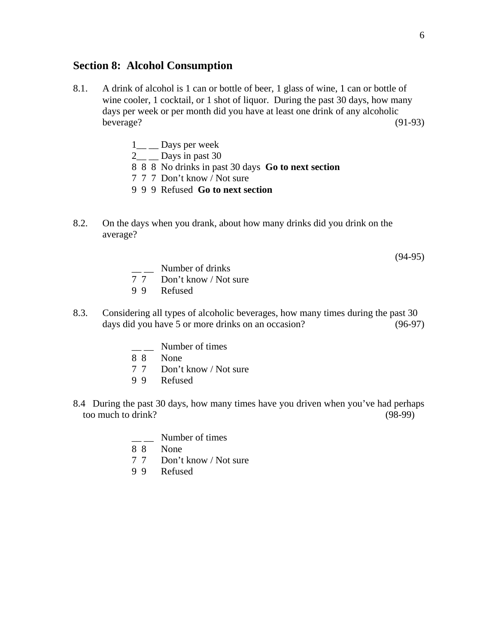### **Section 8: Alcohol Consumption**

- 8.1. A drink of alcohol is 1 can or bottle of beer, 1 glass of wine, 1 can or bottle of wine cooler, 1 cocktail, or 1 shot of liquor. During the past 30 days, how many days per week or per month did you have at least one drink of any alcoholic beverage? (91-93)
	- 1<sup>\_</sup> \_ Days per week
	- $2\_\_$   $\_\_$  Days in past 30
	- 8 8 8 No drinks in past 30 days **Go to next section**
	- 7 7 7 Don't know / Not sure
	- 9 9 9 Refused **Go to next section**
- 8.2. On the days when you drank, about how many drinks did you drink on the average?

(94-95)

- $\frac{1}{7}$  Number of drinks<br>7.7 Don't know / Not
- Don't know / Not sure
- 9 9 Refused
- 8.3. Considering all types of alcoholic beverages, how many times during the past 30 days did you have 5 or more drinks on an occasion? (96-97)
	- $\frac{1}{2}$  Number of times
	- 8 8 None
	- 7 7 Don't know / Not sure
	- 9 9 Refused
- 8.4 During the past 30 days, how many times have you driven when you've had perhaps too much to drink? (98-99)
	- $\frac{1}{8}$  Number of times
	- None
	- 7 7 Don't know / Not sure
	- 9 9 Refused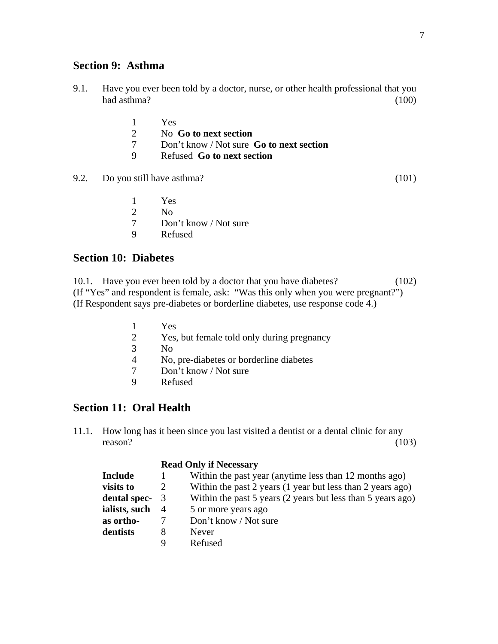### **Section 9: Asthma**

- 9.1. Have you ever been told by a doctor, nurse, or other health professional that you had asthma? (100)
	- 1 Yes
	- 2 No **Go to next section**
	- 7 Don't know / Not sure **Go to next section**
	- 9 Refused **Go to next section**
- 9.2. Do you still have asthma? (101)

- 1 Yes
- 2 No
- 7 Don't know / Not sure
- 9 Refused

### **Section 10: Diabetes**

10.1. Have you ever been told by a doctor that you have diabetes? (102) (If "Yes" and respondent is female, ask: "Was this only when you were pregnant?") (If Respondent says pre-diabetes or borderline diabetes, use response code 4.)

- $\frac{1}{2}$  Yes Yes, but female told only during pregnancy 3 No 4 No, pre-diabetes or borderline diabetes 7 Don't know / Not sure 9 Refused
- 

## **Section 11: Oral Health**

11.1. How long has it been since you last visited a dentist or a dental clinic for any reason?  $(103)$ 

#### **Read Only if Necessary**

| <b>Include</b> |   | Within the past year (anytime less than 12 months ago)      |
|----------------|---|-------------------------------------------------------------|
| visits to      |   | Within the past 2 years (1 year but less than 2 years ago)  |
| dental spec- 3 |   | Within the past 5 years (2 years but less than 5 years ago) |
| ialists, such  | 4 | 5 or more years ago                                         |
| as ortho-      |   | Don't know / Not sure                                       |
| dentists       | 8 | <b>Never</b>                                                |
|                | Q | Refused                                                     |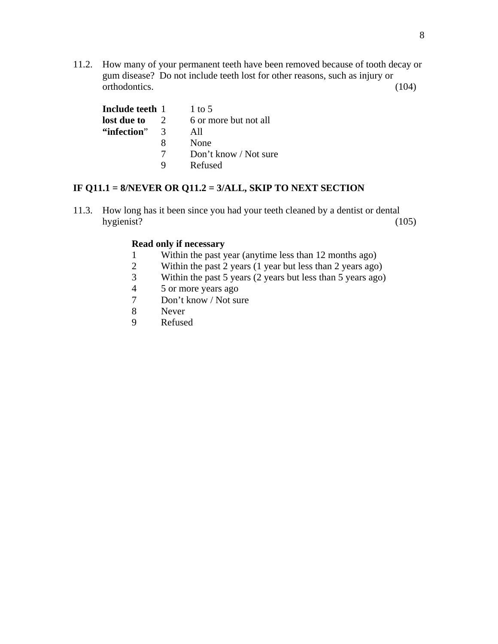11.2. How many of your permanent teeth have been removed because of tooth decay or gum disease? Do not include teeth lost for other reasons, such as injury or orthodontics. (104)

| Include teeth 1 |               | 1 to 5                |
|-----------------|---------------|-----------------------|
| lost due to     |               | 6 or more but not all |
| "infection"     | $\mathcal{R}$ | All                   |
|                 | x             | None                  |
|                 |               | Don't know / Not sure |
|                 | Q             | Refused               |

### **IF Q11.1 = 8/NEVER OR Q11.2 = 3/ALL, SKIP TO NEXT SECTION**

11.3. How long has it been since you had your teeth cleaned by a dentist or dental hygienist? (105)

### **Read only if necessary**

- 1 Within the past year (anytime less than 12 months ago)
- 2 Within the past 2 years (1 year but less than 2 years ago)
- 3 Within the past 5 years (2 years but less than 5 years ago)
- 4 5 or more years ago
- 7 Don't know / Not sure
- 8 Never
- 9 Refused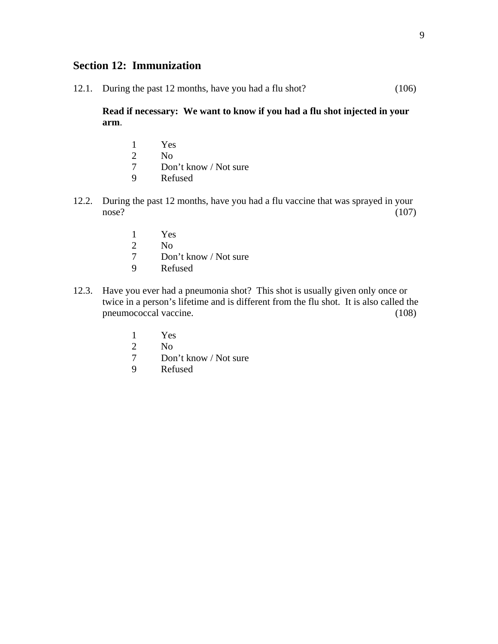## **Section 12: Immunization**

12.1. During the past 12 months, have you had a flu shot? (106)

**Read if necessary: We want to know if you had a flu shot injected in your arm**.

- 1 Yes  $\frac{2}{7}$  No<br>7 Don Don't know / Not sure 9 Refused
- 12.2. During the past 12 months, have you had a flu vaccine that was sprayed in your  $nose?$  (107)
	- 1 Yes
	- 2 No
	- 7 Don't know / Not sure
	- 9 Refused
- 12.3. Have you ever had a pneumonia shot? This shot is usually given only once or twice in a person's lifetime and is different from the flu shot. It is also called the pneumococcal vaccine. (108)
	- 1 Yes
	- 2 No
	- 7 Don't know / Not sure
	- 9 Refused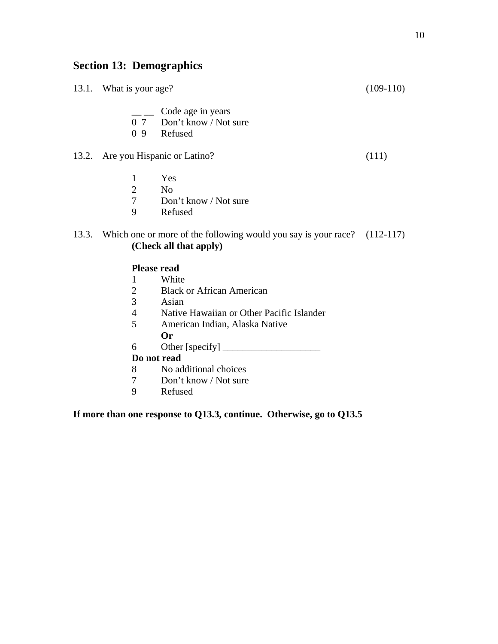# **Section 13: Demographics**

|       | 13.1. What is your age?           |                                                                                                    | $(109-110)$ |
|-------|-----------------------------------|----------------------------------------------------------------------------------------------------|-------------|
|       | 0 <sub>9</sub>                    | Code age in years<br>0 7 Don't know / Not sure<br>Refused                                          |             |
|       | 13.2. Are you Hispanic or Latino? |                                                                                                    | (111)       |
|       | 1<br>$\overline{2}$<br>7<br>9     | Yes<br>N <sub>o</sub><br>Don't know / Not sure<br>Refused                                          |             |
| 13.3. |                                   | Which one or more of the following would you say is your race? (112-117)<br>(Check all that apply) |             |
|       | <b>Please read</b>                |                                                                                                    |             |
|       | 1                                 | White                                                                                              |             |
|       | $\overline{2}$                    | <b>Black or African American</b>                                                                   |             |

- 3 Asian
- 4 Native Hawaiian or Other Pacific Islander
- 5 American Indian, Alaska Native
	- **Or**
- 6 Other [specify] \_\_\_\_\_\_\_\_\_\_\_\_\_\_\_\_\_\_\_\_

### **Do not read**

- 8 No additional choices
- 7 Don't know / Not sure<br>9 Refused
- **Refused**

## **If more than one response to Q13.3, continue. Otherwise, go to Q13.5**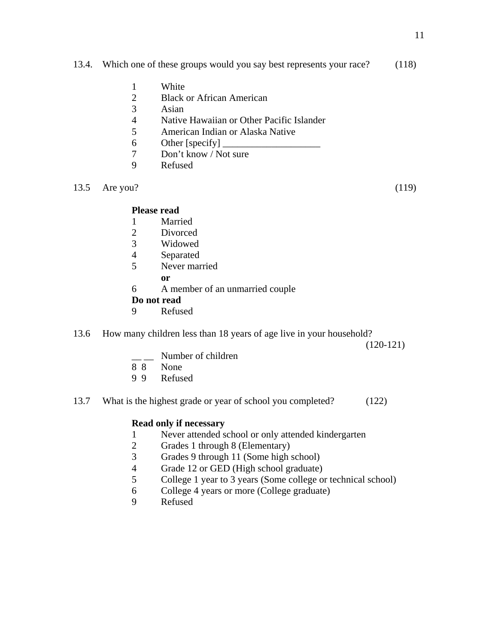#### 13.4. Which one of these groups would you say best represents your race? (118)

- 1 White
- 2 Black or African American<br>3 Asian
- Asian
- 4 Native Hawaiian or Other Pacific Islander
- 5 American Indian or Alaska Native
- 6 Other [specify]  $\overline{\phantom{a}}$
- 7 Don't know / Not sure
- 9 Refused
- 13.5 Are you? (119)

### **Please read**

- 1 Married
- 2 Divorced
- 3 Widowed
- 4 Separated
- 5 Never married
- **or** 
	- 6 A member of an unmarried couple

### **Do not read**

- 9 Refused
- 13.6 How many children less than 18 years of age live in your household?

(120-121)

- $\equiv$  Number of children
- 8 8 None
- 9 9 Refused
- 13.7 What is the highest grade or year of school you completed? (122)

### **Read only if necessary**

- 1 Never attended school or only attended kindergarten
- 2 Grades 1 through 8 (Elementary)
- 3 Grades 9 through 11 (Some high school)
- 4 Grade 12 or GED (High school graduate)<br>5 College 1 year to 3 years (Some college or
- 5 College 1 year to 3 years (Some college or technical school)
- 6 College 4 years or more (College graduate)
- 9 Refused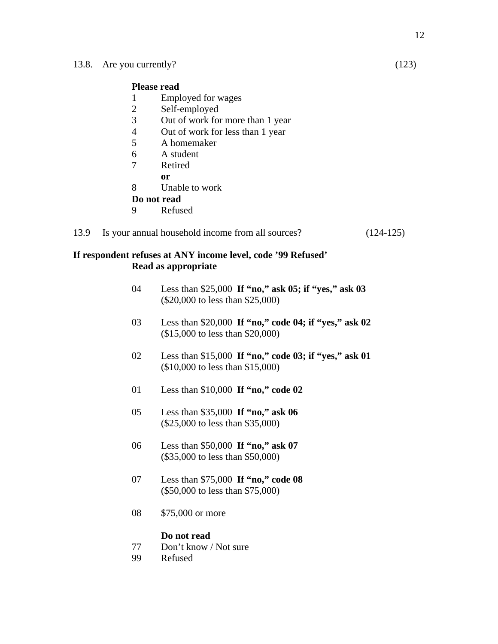#### **Please read**

- 1 Employed for wages
- 2 Self-employed
- 3 Out of work for more than 1 year
- 4 Out of work for less than 1 year
- 5 A homemaker
- 6 A student
- 7 Retired
- **or** 
	- 8 Unable to work

### **Do not read**

9 Refused

#### 13.9 Is your annual household income from all sources? (124-125)

#### **If respondent refuses at ANY income level, code '99 Refused' Read as appropriate**

- 04 Less than \$25,000 **If "no," ask 05; if "yes," ask 03** (\$20,000 to less than \$25,000)
- 03 Less than \$20,000 **If "no," code 04; if "yes," ask 02** (\$15,000 to less than \$20,000)
- 02 Less than \$15,000 **If "no," code 03; if "yes," ask 01** (\$10,000 to less than \$15,000)
- 01 Less than \$10,000 **If "no," code 02**
- 05 Less than \$35,000 **If "no," ask 06** (\$25,000 to less than \$35,000)
- 06 Less than \$50,000 **If "no," ask 07** (\$35,000 to less than \$50,000)
- 07 Less than \$75,000 **If "no," code 08** (\$50,000 to less than \$75,000)
- 08 \$75,000 or more

#### **Do not read**

- 77 Don't know / Not sure
- 99 Refused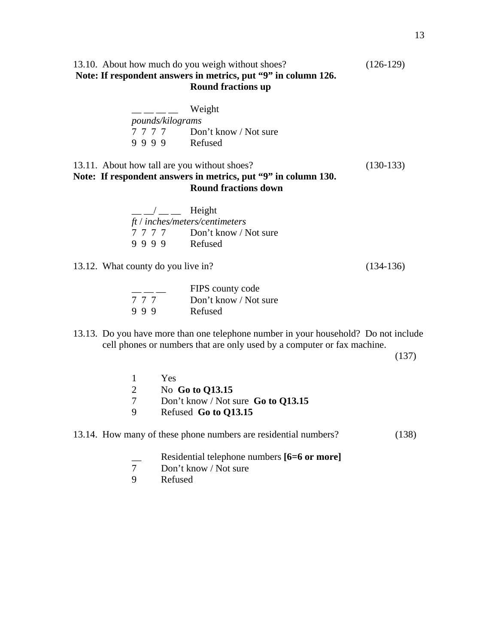### 13.10. About how much do you weigh without shoes? (126-129) **Note: If respondent answers in metrics, put "9" in column 126. Round fractions up**

|                         | Weight                |
|-------------------------|-----------------------|
| <i>pounds/kilograms</i> |                       |
| 7777                    | Don't know / Not sure |
| 9999                    | Refused               |

### 13.11. About how tall are you without shoes? (130-133) **Note: If respondent answers in metrics, put "9" in column 130. Round fractions down**

| $\frac{1}{2}$ $\frac{1}{2}$ Height |                                |
|------------------------------------|--------------------------------|
|                                    | ft / inches/meters/centimeters |
|                                    | 7 7 7 7 Don't know / Not sure  |
| 9999                               | Refused                        |
|                                    |                                |

13.12. What county do you live in? (134-136)

|     | FIPS county code      |
|-----|-----------------------|
| 777 | Don't know / Not sure |
| 999 | Refused               |

13.13. Do you have more than one telephone number in your household? Do not include cell phones or numbers that are only used by a computer or fax machine.

(137)

|   | Yes.                                                            |       |
|---|-----------------------------------------------------------------|-------|
|   | No Go to Q13.15                                                 |       |
|   | Don't know / Not sure Go to $Q13.15$                            |       |
| 9 | Refused Go to Q13.15                                            |       |
|   | 13.14. How many of these phone numbers are residential numbers? | (138) |

- **EXECUTE:** Residential telephone numbers [6=6 or more]<br>7 Don't know / Not sure
- 7 Don't know / Not sure<br>9 Refused
- **Refused**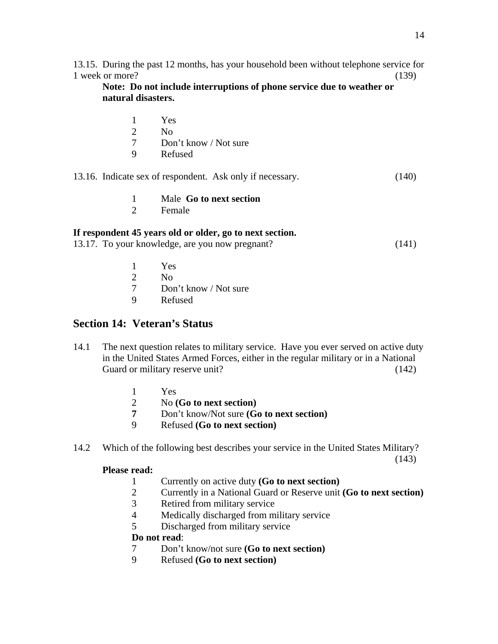13.15. During the past 12 months, has your household been without telephone service for 1 week or more? (139)

**Note: Do not include interruptions of phone service due to weather or natural disasters.** 

- 1 Yes
- 2 No
- 7 Don't know / Not sure
- 9 Refused

13.16. Indicate sex of respondent. Ask only if necessary. (140)

- 1 Male **Go to next section**
- 2 Female

### **If respondent 45 years old or older, go to next section.**

|  | 13.17. To your knowledge, are you now pregnant? | (141) |  |
|--|-------------------------------------------------|-------|--|
|  |                                                 |       |  |

- 1 Yes
- 2  $N<sub>0</sub>$
- 7 Don't know / Not sure
- 9 Refused

## **Section 14: Veteran's Status**

- 14.1The next question relates to military service. Have you ever served on active duty in the United States Armed Forces, either in the regular military or in a National Guard or military reserve unit? (142)
	- 1 Yes
	- 2 No **(Go to next section)**
	- **7** Don't know/Not sure **(Go to next section)**
	- 9 Refused **(Go to next section)**
- 14.2 Which of the following best describes your service in the United States Military? (143)

### **Please read:**

- 1 Currently on active duty **(Go to next section)**
	- 2 Currently in a National Guard or Reserve unit **(Go to next section)**
	- 3 Retired from military service
	- 4 Medically discharged from military service
	- 5 Discharged from military service

## **Do not read**:

- 7 Don't know/not sure **(Go to next section)**
- 9 Refused **(Go to next section)**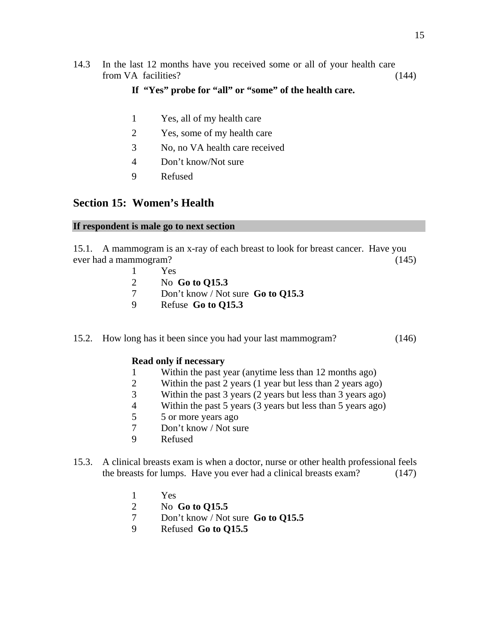14.3 In the last 12 months have you received some or all of your health care from VA facilities? (144)

### **If "Yes" probe for "all" or "some" of the health care.**

- 1 Yes, all of my health care
- 2 Yes, some of my health care
- 3 No, no VA health care received
- 4 Don't know/Not sure
- 9 Refused

### **Section 15: Women's Health**

#### **If respondent is male go to next section**

15.1. A mammogram is an x-ray of each breast to look for breast cancer. Have you ever had a mammogram? (145)

- 1 Yes
- 2 No **Go to Q15.3**
- 7 Don't know / Not sure **Go to Q15.3**
- 9 Refuse **Go to Q15.3**

#### 15.2. How long has it been since you had your last mammogram? (146)

#### **Read only if necessary**

- 1 Within the past year (anytime less than 12 months ago)
- 2 Within the past 2 years (1 year but less than 2 years ago)
- 3 Within the past 3 years (2 years but less than 3 years ago)
- 4 Within the past 5 years (3 years but less than 5 years ago)
- 5 5 or more years ago
- 7 Don't know / Not sure
- 9 Refused
- 15.3. A clinical breasts exam is when a doctor, nurse or other health professional feels the breasts for lumps. Have you ever had a clinical breasts exam? (147)
	- 1 Yes
	- 2 No **Go to Q15.5**
	- 7 Don't know / Not sure **Go to Q15.5**
	- 9 Refused **Go to Q15.5**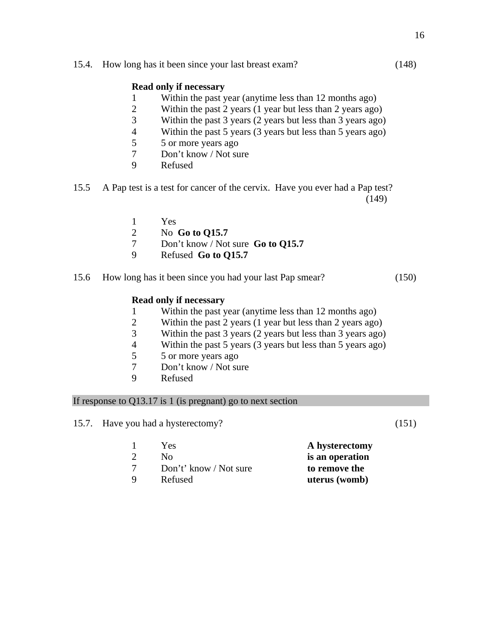15.4. How long has it been since your last breast exam? (148)

#### **Read only if necessary**

- 1 Within the past year (anytime less than 12 months ago)
- 2 Within the past 2 years (1 year but less than 2 years ago)
- 3 Within the past 3 years (2 years but less than 3 years ago)
- 4 Within the past 5 years (3 years but less than 5 years ago)
- 5 5 or more years ago
- 7 Don't know / Not sure
- 9 Refused
- 15.5 A Pap test is a test for cancer of the cervix. Have you ever had a Pap test? (149)
	- 1 Yes
	- 2 No **Go to Q15.7**
	- 7 Don't know / Not sure **Go to Q15.7**
	- 9 Refused **Go to Q15.7**
- 15.6 How long has it been since you had your last Pap smear? (150)

#### **Read only if necessary**

- 1 Within the past year (anytime less than 12 months ago)
- 2 Within the past 2 years (1 year but less than 2 years ago)
- 3 Within the past 3 years (2 years but less than 3 years ago)
- 4 Within the past 5 years (3 years but less than 5 years ago)
- 5 5 or more years ago
- 7 Don't know / Not sure
- 9 Refused

#### If response to Q13.17 is 1 (is pregnant) go to next section

15.7. Have you had a hysterectomy? (151)

 1 Yes **A hysterectomy** 2 No **is an operation** 7 Don't' know / Not sure **to remove the** 9 Refused **uterus (womb)**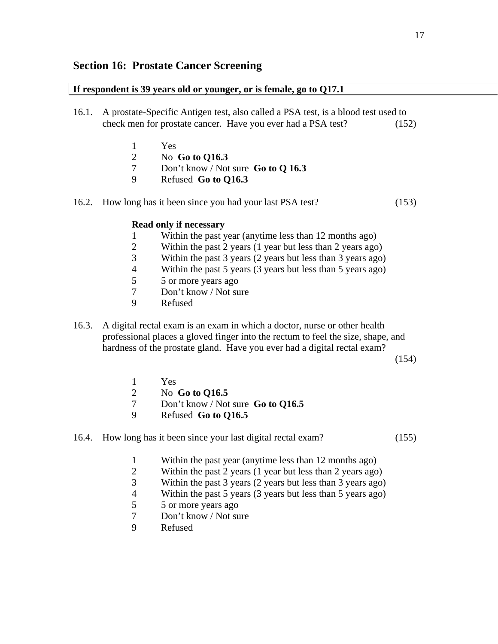## **Section 16: Prostate Cancer Screening**

#### **If respondent is 39 years old or younger, or is female, go to Q17.1**

- 16.1. A prostate-Specific Antigen test, also called a PSA test, is a blood test used to check men for prostate cancer. Have you ever had a PSA test? (152)
	- 1 Yes
	- 2 No **Go to Q16.3**
	- 7 Don't know / Not sure **Go to Q 16.3**
	- 9 Refused **Go to Q16.3**
- 16.2. How long has it been since you had your last PSA test? (153)

#### **Read only if necessary**

- 1 Within the past year (anytime less than 12 months ago)
- 2 Within the past 2 years (1 year but less than 2 years ago)
- 3 Within the past 3 years (2 years but less than 3 years ago)
- 4 Within the past 5 years (3 years but less than 5 years ago)
- 5 5 or more years ago
- 7 Don't know / Not sure
- 9 Refused
- 16.3. A digital rectal exam is an exam in which a doctor, nurse or other health professional places a gloved finger into the rectum to feel the size, shape, and hardness of the prostate gland. Have you ever had a digital rectal exam?

(154)

- 1 Yes
- 2 No **Go to Q16.5**
- 7 Don't know / Not sure **Go to Q16.5**
- 9 Refused **Go to Q16.5**

#### 16.4. How long has it been since your last digital rectal exam? (155)

- 1 Within the past year (anytime less than 12 months ago)
- 2 Within the past 2 years (1 year but less than 2 years ago)
- 3 Within the past 3 years (2 years but less than 3 years ago)
- 4 Within the past 5 years (3 years but less than 5 years ago)
- 5 5 or more years ago
- 7 Don't know / Not sure
- 9 Refused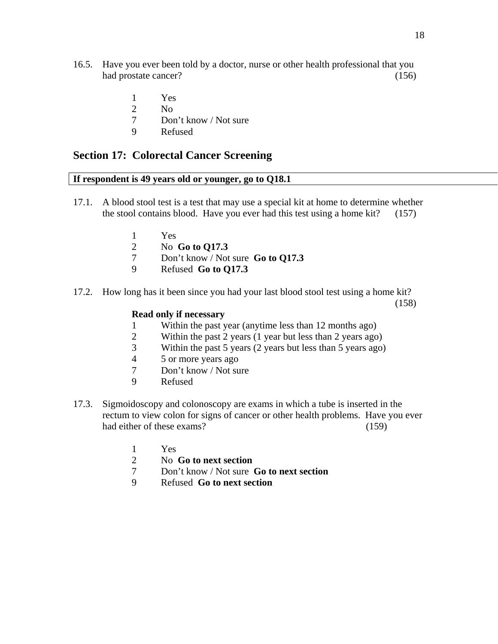- 16.5. Have you ever been told by a doctor, nurse or other health professional that you had prostate cancer? (156)
	- 1 Yes
	- 2  $N<sub>0</sub>$
	- 7 Don't know / Not sure
	- 9 Refused

### **Section 17: Colorectal Cancer Screening**

#### **If respondent is 49 years old or younger, go to Q18.1**

- 17.1. A blood stool test is a test that may use a special kit at home to determine whether the stool contains blood. Have you ever had this test using a home kit? (157)
	- 1 Yes
	- 2 No **Go to Q17.3**
	- 7 Don't know / Not sure **Go to Q17.3**
	- 9 Refused **Go to Q17.3**
- 17.2. How long has it been since you had your last blood stool test using a home kit? (158)

#### **Read only if necessary**

- 1 Within the past year (anytime less than 12 months ago)
- 2 Within the past 2 years (1 year but less than 2 years ago)
- 3 Within the past 5 years (2 years but less than 5 years ago)
- 4 5 or more years ago
- 7 Don't know / Not sure
- 9 Refused
- 17.3. Sigmoidoscopy and colonoscopy are exams in which a tube is inserted in the rectum to view colon for signs of cancer or other health problems. Have you ever had either of these exams? (159)
	- 1 Yes
	- 2 No **Go to next section**
	- 7 Don't know / Not sure **Go to next section**
	- 9 Refused **Go to next section**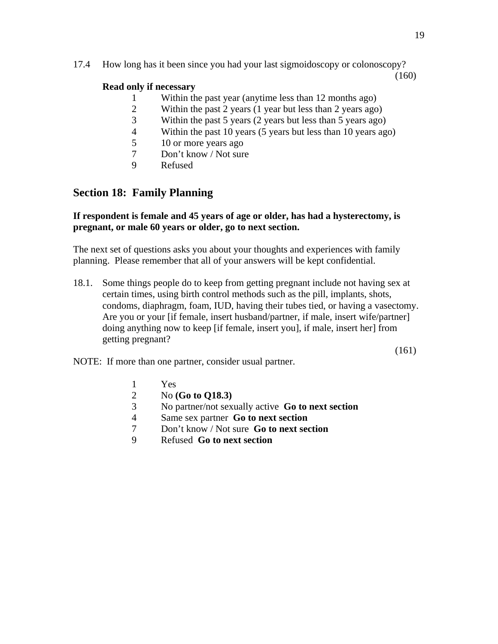(160)

### **Read only if necessary**

- 1 Within the past year (anytime less than 12 months ago)
- 2 Within the past 2 years (1 year but less than 2 years ago)
- 3 Within the past 5 years (2 years but less than 5 years ago)
- 4 Within the past 10 years (5 years but less than 10 years ago)
- 5 10 or more years ago
- 7 Don't know / Not sure
- 9 Refused

## **Section 18: Family Planning**

### **If respondent is female and 45 years of age or older, has had a hysterectomy, is pregnant, or male 60 years or older, go to next section.**

The next set of questions asks you about your thoughts and experiences with family planning. Please remember that all of your answers will be kept confidential.

18.1. Some things people do to keep from getting pregnant include not having sex at certain times, using birth control methods such as the pill, implants, shots, condoms, diaphragm, foam, IUD, having their tubes tied, or having a vasectomy. Are you or your [if female, insert husband/partner, if male, insert wife/partner] doing anything now to keep [if female, insert you], if male, insert her] from getting pregnant?

(161)

NOTE: If more than one partner, consider usual partner.

- 1 Yes
- 2 No **(Go to Q18.3)**
- 3 No partner/not sexually active **Go to next section**
- 4 Same sex partner **Go to next section**
- 7 Don't know / Not sure **Go to next section**
- 9 Refused **Go to next section**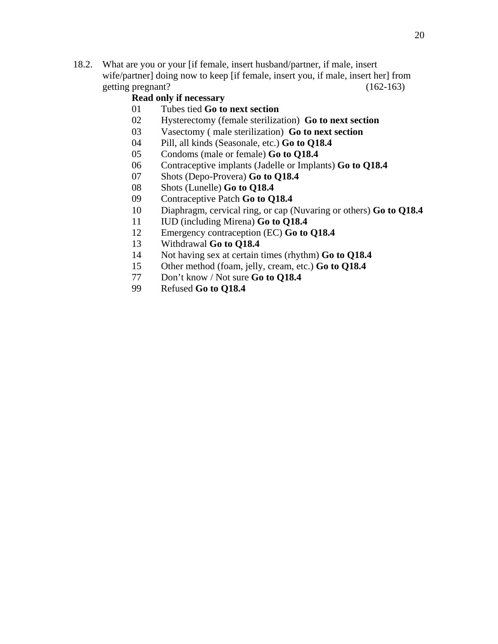18.2. What are you or your [if female, insert husband/partner, if male, insert wife/partner] doing now to keep [if female, insert you, if male, insert her] from getting pregnant? (162-163)

#### **Read only if necessary**

- 01 Tubes tied **Go to next section**
- 02 Hysterectomy (female sterilization) **Go to next section**
- 03 Vasectomy ( male sterilization) **Go to next section**
- 04 Pill, all kinds (Seasonale, etc.) **Go to Q18.4**
- 05 Condoms (male or female) **Go to Q18.4**
- 06 Contraceptive implants (Jadelle or Implants) **Go to Q18.4**
- 07 Shots (Depo-Provera) **Go to Q18.4**
- 08 Shots (Lunelle) **Go to Q18.4**
- 09 Contraceptive Patch **Go to Q18.4**
- 10 Diaphragm, cervical ring, or cap (Nuvaring or others) **Go to Q18.4**
- 11 IUD (including Mirena) **Go to Q18.4**
- 12 Emergency contraception (EC) **Go to Q18.4**
- 13 Withdrawal **Go to Q18.4**
- 14 Not having sex at certain times (rhythm) **Go to Q18.4**
- 15 Other method (foam, jelly, cream, etc.) **Go to Q18.4**
- 77 Don't know / Not sure **Go to Q18.4**
- 99 Refused **Go to Q18.4**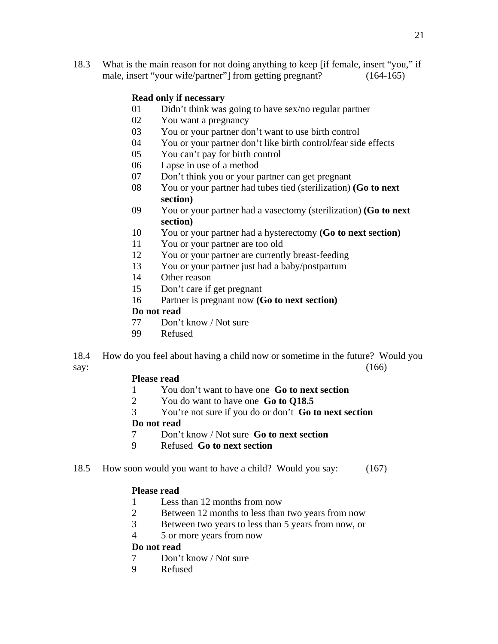18.3 What is the main reason for not doing anything to keep [if female, insert "you," if male, insert "your wife/partner"] from getting pregnant? (164-165)

### **Read only if necessary**

- 01 Didn't think was going to have sex/no regular partner
- 02 You want a pregnancy
- 03 You or your partner don't want to use birth control
- 04 You or your partner don't like birth control/fear side effects
- 05 You can't pay for birth control
- 06 Lapse in use of a method
- 07 Don't think you or your partner can get pregnant
- 08 You or your partner had tubes tied (sterilization) **(Go to next section)**
- 09 You or your partner had a vasectomy (sterilization) **(Go to next section)**
- 10 You or your partner had a hysterectomy **(Go to next section)**
- 11 You or your partner are too old
- 12 You or your partner are currently breast-feeding
- 13 You or your partner just had a baby/postpartum
- 14 Other reason
- 15 Don't care if get pregnant
- 16 Partner is pregnant now **(Go to next section)**

#### **Do not read**

- 77 Don't know / Not sure
- 99 Refused

18.4 How do you feel about having a child now or sometime in the future? Would you say:  $(166)$ 

#### **Please read**

- 1 You don't want to have one **Go to next section**
- 2 You do want to have one **Go to Q18.5**
- 3 You're not sure if you do or don't **Go to next section**

#### **Do not read**

- 7 Don't know / Not sure **Go to next section**
- 9 Refused **Go to next section**
- 18.5 How soon would you want to have a child? Would you say: (167)

#### **Please read**

- 1 Less than 12 months from now
- 2 Between 12 months to less than two years from now
- 3 Between two years to less than 5 years from now, or
- 4 5 or more years from now

### **Do not read**

- 7 Don't know / Not sure
- 9 Refused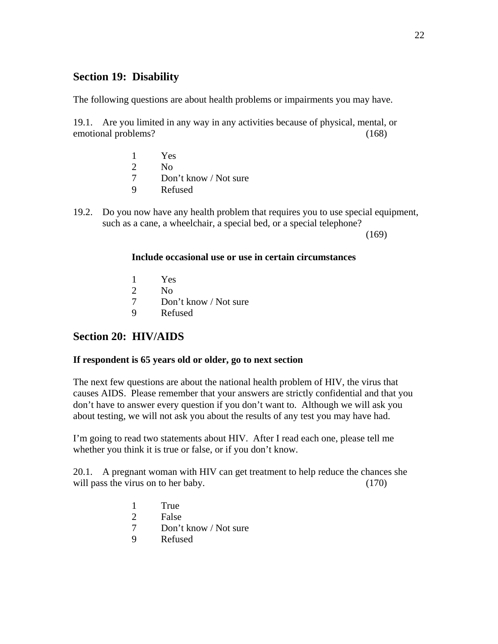## **Section 19: Disability**

The following questions are about health problems or impairments you may have.

19.1. Are you limited in any way in any activities because of physical, mental, or emotional problems? (168)

- 1 Yes 2  $N<sub>0</sub>$  7 Don't know / Not sure 9 Refused
- 19.2. Do you now have any health problem that requires you to use special equipment, such as a cane, a wheelchair, a special bed, or a special telephone?

 $(169)$ 

### **Include occasional use or use in certain circumstances**

- 1 Yes
- 2 No
- 7 Don't know / Not sure
- 9 Refused

## **Section 20: HIV/AIDS**

### **If respondent is 65 years old or older, go to next section**

The next few questions are about the national health problem of HIV, the virus that causes AIDS. Please remember that your answers are strictly confidential and that you don't have to answer every question if you don't want to. Although we will ask you about testing, we will not ask you about the results of any test you may have had.

I'm going to read two statements about HIV. After I read each one, please tell me whether you think it is true or false, or if you don't know.

20.1. A pregnant woman with HIV can get treatment to help reduce the chances she will pass the virus on to her baby. (170)

- 1 True
- 2 False
- 7 Don't know / Not sure
- 9 Refused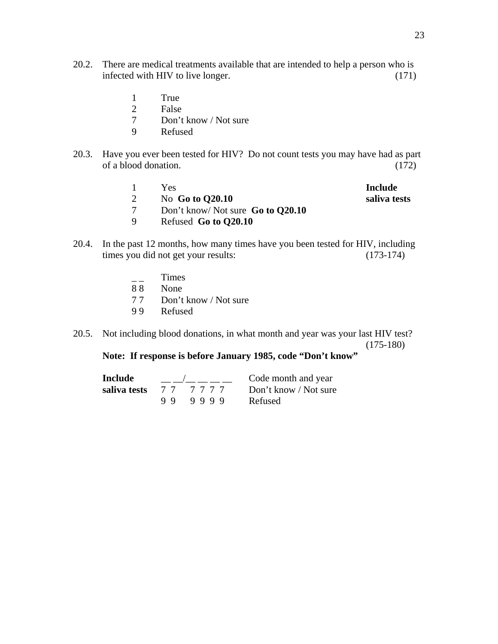- 20.2. There are medical treatments available that are intended to help a person who is infected with HIV to live longer. (171)
	- 1 True<br>2 False
	- **False**
	- 7 Don't know / Not sure
	- 9 Refused
- 20.3. Have you ever been tested for HIV? Do not count tests you may have had as part of a blood donation. (172)

|   | Yes.                              | Include      |
|---|-----------------------------------|--------------|
|   | No Go to $Q20.10$                 | saliva tests |
|   | Don't know/ Not sure Go to Q20.10 |              |
| Q | Refused Go to Q20.10              |              |

- 20.4. In the past 12 months, how many times have you been tested for HIV, including times you did not get your results: (173-174)
	- $\overline{\phantom{a}}$   $\overline{\phantom{a}}$   $\overline{\phantom{a}}$   $\overline{\phantom{a}}$   $\overline{\phantom{a}}$   $\overline{\phantom{a}}$   $\overline{\phantom{a}}$   $\overline{\phantom{a}}$   $\overline{\phantom{a}}$   $\overline{\phantom{a}}$   $\overline{\phantom{a}}$   $\overline{\phantom{a}}$   $\overline{\phantom{a}}$   $\overline{\phantom{a}}$   $\overline{\phantom{a}}$   $\overline{\phantom{a}}$   $\overline{\phantom{a}}$   $\overline{\phantom{a}}$   $\overline{\$
	- 8 8 None
	- 7 7 Don't know / Not sure
	- 9 9 Refused
- 20.5. Not including blood donations, in what month and year was your last HIV test? (175-180)

## **Note: If response is before January 1985, code "Don't know"**

| Include      |         | Code month and year   |
|--------------|---------|-----------------------|
| saliva tests | 77 7777 | Don't know / Not sure |
|              | 999999  | Refused               |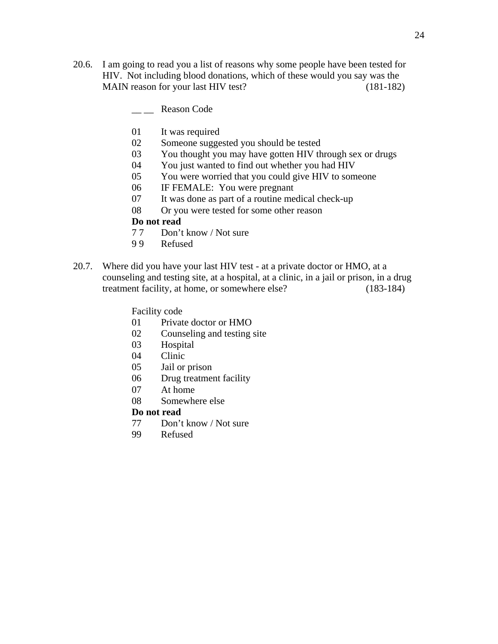- 20.6. I am going to read you a list of reasons why some people have been tested for HIV. Not including blood donations, which of these would you say was the MAIN reason for your last HIV test? (181-182)
	- Reason Code
	- 01 It was required
	- 02 Someone suggested you should be tested
	- 03 You thought you may have gotten HIV through sex or drugs
	- 04 You just wanted to find out whether you had HIV
	- 05 You were worried that you could give HIV to someone
	- 06 IF FEMALE: You were pregnant
	- 07 It was done as part of a routine medical check-up
	- 08 Or you were tested for some other reason

#### **Do not read**

- 7 7 Don't know / Not sure
- 9 9 Refused
- 20.7. Where did you have your last HIV test at a private doctor or HMO, at a counseling and testing site, at a hospital, at a clinic, in a jail or prison, in a drug treatment facility, at home, or somewhere else? (183-184)

#### Facility code

- 01 Private doctor or HMO
- 02 Counseling and testing site
- 03 Hospital
- 04 Clinic
- 05 Jail or prison
- 06 Drug treatment facility
- 07 At home
- 08 Somewhere else

#### **Do not read**

- 77 Don't know / Not sure
- 99 Refused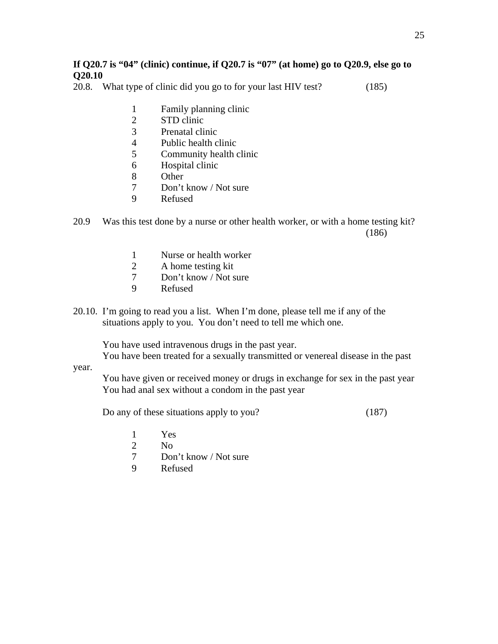### **If Q20.7 is "04" (clinic) continue, if Q20.7 is "07" (at home) go to Q20.9, else go to Q20.10**

20.8. What type of clinic did you go to for your last HIV test? (185)

- 1 Family planning clinic
- 2 STD clinic
- 3 Prenatal clinic
- 4 Public health clinic
- 5 Community health clinic
- 6 Hospital clinic
- 8 Other
- 7 Don't know / Not sure
- 9 Refused

20.9 Was this test done by a nurse or other health worker, or with a home testing kit? (186)

- 1 Nurse or health worker
- 2 A home testing kit
- 7 Don't know / Not sure
- 9 Refused
- 20.10. I'm going to read you a list. When I'm done, please tell me if any of the situations apply to you. You don't need to tell me which one.

You have used intravenous drugs in the past year.

You have been treated for a sexually transmitted or venereal disease in the past

#### year.

 You have given or received money or drugs in exchange for sex in the past year You had anal sex without a condom in the past year

Do any of these situations apply to you? (187)

- 1 Yes
- 2 No
- 7 Don't know / Not sure
- 9 Refused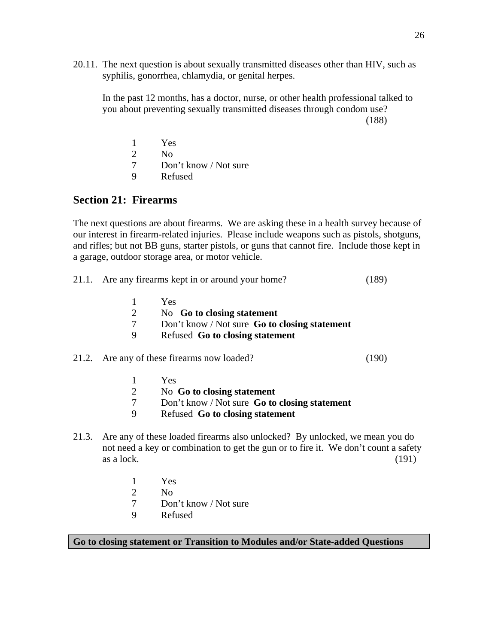20.11. The next question is about sexually transmitted diseases other than HIV, such as syphilis, gonorrhea, chlamydia, or genital herpes.

In the past 12 months, has a doctor, nurse, or other health professional talked to you about preventing sexually transmitted diseases through condom use?

(188)

|   | Yes                   |
|---|-----------------------|
|   | Nο                    |
|   | Don't know / Not sure |
| Q | Refused               |

### **Section 21: Firearms**

The next questions are about firearms. We are asking these in a health survey because of our interest in firearm-related injuries. Please include weapons such as pistols, shotguns, and rifles; but not BB guns, starter pistols, or guns that cannot fire. Include those kept in a garage, outdoor storage area, or motor vehicle.

- 21.1. Are any firearms kept in or around your home? (189)
	- 1 Yes 2 No **Go to closing statement** 7 Don't know / Not sure **Go to closing statement** 9 Refused **Go to closing statement**

21.2. Are any of these firearms now loaded? (190)

- 1 Yes
- 2 No **Go to closing statement**
- 7 Don't know / Not sure **Go to closing statement**
- 9 Refused **Go to closing statement**
- 21.3. Are any of these loaded firearms also unlocked? By unlocked, we mean you do not need a key or combination to get the gun or to fire it. We don't count a safety  $\alpha$ s a lock. (191)
	- 1 Yes
	- 2 No
	- 7 Don't know / Not sure
	- 9 Refused

**Go to closing statement or Transition to Modules and/or State-added Questions**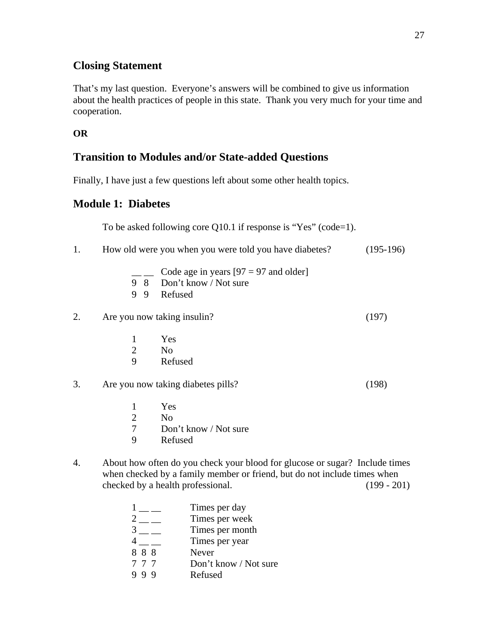## **Closing Statement**

That's my last question. Everyone's answers will be combined to give us information about the health practices of people in this state. Thank you very much for your time and cooperation.

**OR** 

## **Transition to Modules and/or State-added Questions**

Finally, I have just a few questions left about some other health topics.

## **Module 1: Diabetes**

To be asked following core Q10.1 if response is "Yes" (code=1).

| 1. |                                                                                                                                                                                                               | How old were you when you were told you have diabetes?                              | $(195-196)$ |  |  |
|----|---------------------------------------------------------------------------------------------------------------------------------------------------------------------------------------------------------------|-------------------------------------------------------------------------------------|-------------|--|--|
|    |                                                                                                                                                                                                               | Code age in years $[97 = 97$ and older]<br>9 8 Don't know / Not sure<br>9 9 Refused |             |  |  |
| 2. |                                                                                                                                                                                                               | Are you now taking insulin?                                                         | (197)       |  |  |
|    | 1                                                                                                                                                                                                             | Yes                                                                                 |             |  |  |
|    | $\mathbf{2}$                                                                                                                                                                                                  | N <sub>o</sub>                                                                      |             |  |  |
|    | 9                                                                                                                                                                                                             | Refused                                                                             |             |  |  |
| 3. | Are you now taking diabetes pills?                                                                                                                                                                            |                                                                                     | (198)       |  |  |
|    | $\mathbf{1}$                                                                                                                                                                                                  | Yes                                                                                 |             |  |  |
|    | $\overline{2}$                                                                                                                                                                                                | N <sub>o</sub>                                                                      |             |  |  |
|    | $\overline{7}$                                                                                                                                                                                                | Don't know / Not sure                                                               |             |  |  |
|    | 9                                                                                                                                                                                                             | Refused                                                                             |             |  |  |
| 4. | About how often do you check your blood for glucose or sugar? Include times<br>when checked by a family member or friend, but do not include times when<br>checked by a health professional.<br>$(199 - 201)$ |                                                                                     |             |  |  |
|    |                                                                                                                                                                                                               | Times per day                                                                       |             |  |  |
|    |                                                                                                                                                                                                               | $\frac{1}{2}$ $\frac{2}{3}$ $\frac{1}{2}$<br>Times per week                         |             |  |  |
|    |                                                                                                                                                                                                               | Times per month                                                                     |             |  |  |
|    |                                                                                                                                                                                                               | Times per year                                                                      |             |  |  |

- 8 8 8 Never
- 7 7 7 Don't know / Not sure
- 9 9 9 Refused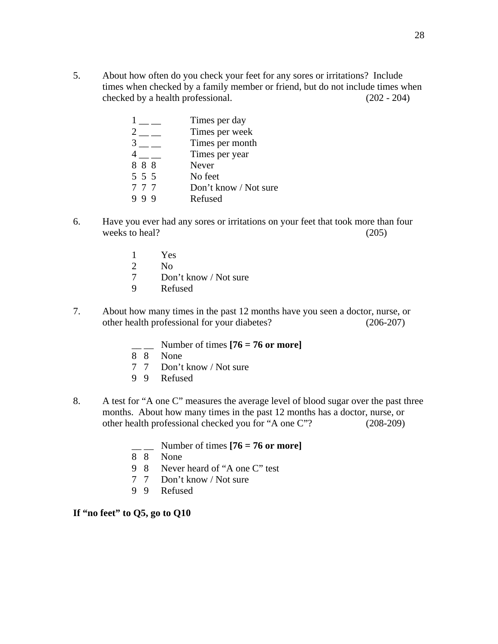5. About how often do you check your feet for any sores or irritations? Include times when checked by a family member or friend, but do not include times when checked by a health professional. (202 - 204)

|       | Times per day         |
|-------|-----------------------|
|       | Times per week        |
|       | Times per month       |
|       | Times per year        |
| 888   | Never                 |
| 5 5 5 | No feet               |
| 777   | Don't know / Not sure |
| - Q   | Refused               |
|       |                       |

- 6. Have you ever had any sores or irritations on your feet that took more than four weeks to heal? (205)
	- 1 Yes
	- 2 No
	- 7 Don't know / Not sure
	- 9 Refused
- 7. About how many times in the past 12 months have you seen a doctor, nurse, or other health professional for your diabetes? (206-207)
	- $\text{Number of times } [76 = 76 \text{ or more}]$
	- 8 8 None
	- 7 7 Don't know / Not sure
	- 9 9 Refused
- 8. A test for "A one C" measures the average level of blood sugar over the past three months. About how many times in the past 12 months has a doctor, nurse, or other health professional checked you for "A one C"? (208-209)
	- $\frac{1}{2}$  Number of times  $[76 = 76 \text{ or more}]$
	- 8 8 None
	- 9 8 Never heard of "A one C" test<br>7 7 Don't know / Not sure
	- Don't know / Not sure
	- 9 9 Refused

#### **If "no feet" to Q5, go to Q10**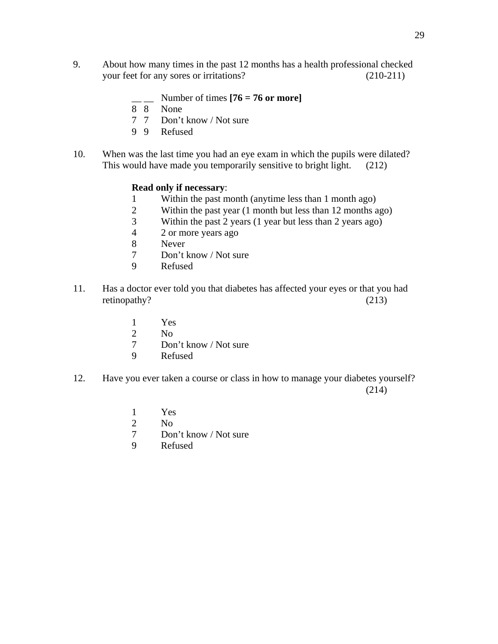- 9. About how many times in the past 12 months has a health professional checked your feet for any sores or irritations? (210-211)
	- $\frac{1}{2}$  Number of times  $[76 = 76 \text{ or more}]$
	- 8 8 None
	- 7 7 Don't know / Not sure
	- 9 9 Refused
- 10. When was the last time you had an eye exam in which the pupils were dilated? This would have made you temporarily sensitive to bright light. (212)

#### **Read only if necessary**:

- 1 Within the past month (anytime less than 1 month ago)
- 2 Within the past year (1 month but less than 12 months ago)<br>3 Within the past 2 years (1 year but less than 2 years ago)
- Within the past  $2$  years (1 year but less than  $2$  years ago)
- 4 2 or more years ago
- 8 Never
- 7 Don't know / Not sure
- 9 Refused
- 11. Has a doctor ever told you that diabetes has affected your eyes or that you had retinopathy? (213)
	- 1 Yes
	- 2  $N<sub>0</sub>$
	- 7 Don't know / Not sure
	- 9 Refused
- 12. Have you ever taken a course or class in how to manage your diabetes yourself?  $(214)$ 
	- 1 Yes
	- 2  $N<sub>0</sub>$
	- 7 Don't know / Not sure
	- 9 Refused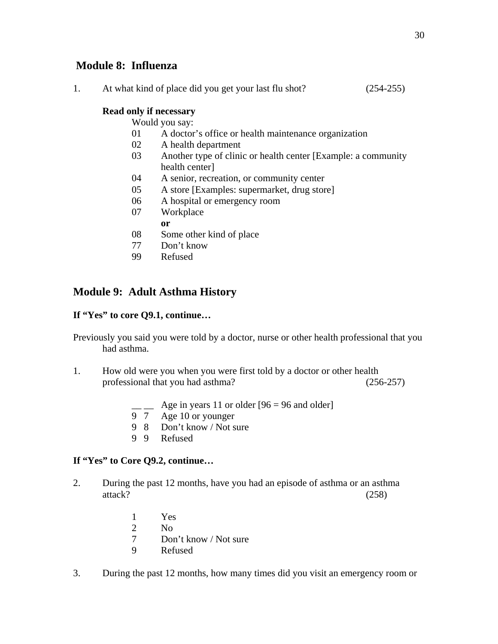## **Module 8: Influenza**

| $(254-255)$<br>At what kind of place did you get your last flu shot? |
|----------------------------------------------------------------------|
|----------------------------------------------------------------------|

### **Read only if necessary**

Would you say:

- 01 A doctor's office or health maintenance organization
- 02 A health department
- 03 Another type of clinic or health center [Example: a community health center]
- 04 A senior, recreation, or community center
- 05 A store [Examples: supermarket, drug store]
- 06 A hospital or emergency room
- 07 Workplace
- **or** 
	- 08 Some other kind of place
	- 77 Don't know
	- 99 Refused

## **Module 9: Adult Asthma History**

### **If "Yes" to core Q9.1, continue…**

Previously you said you were told by a doctor, nurse or other health professional that you had asthma.

- 1. How old were you when you were first told by a doctor or other health professional that you had asthma? (256-257)
	- $\_\_\_\$  Age in years 11 or older [96 = 96 and older]
	- 9 7 Age 10 or younger
	- 9 8 Don't know / Not sure
	- 9 9 Refused

### **If "Yes" to Core Q9.2, continue…**

- 2. During the past 12 months, have you had an episode of asthma or an asthma attack? (258)
	- 1 Yes
	- 2 No
	- 7 Don't know / Not sure
	- 9 Refused
- 3. During the past 12 months, how many times did you visit an emergency room or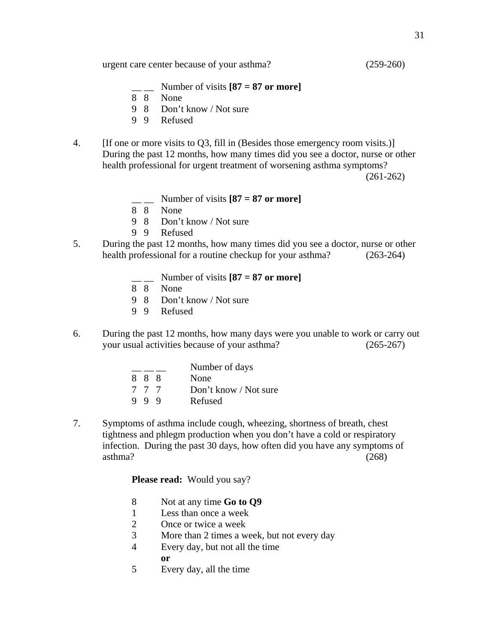- Number of visits  $[87 = 87$  or more]
- 8 8 None
- 9 8 Don't know / Not sure
- 9 9 Refused
- 4. [If one or more visits to Q3, fill in (Besides those emergency room visits.)] During the past 12 months, how many times did you see a doctor, nurse or other health professional for urgent treatment of worsening asthma symptoms?

(261-262)

- \_\_ \_\_ Number of visits **[87 = 87 or more]**
- 8 8 None
	- 9 8 Don't know / Not sure
	- 9 9 Refused
- 5. During the past 12 months, how many times did you see a doctor, nurse or other health professional for a routine checkup for your asthma? (263-264)
	- $\frac{1}{2}$  Number of visits  $[87 = 87 \text{ or more}]$
	- 8 8 None
	- 9 8 Don't know / Not sure
	- 9 9 Refused
- 6. During the past 12 months, how many days were you unable to work or carry out your usual activities because of your asthma? (265-267)

|     | Number of days        |
|-----|-----------------------|
| 888 | None                  |
| 777 | Don't know / Not sure |
| 999 | Refused               |

7. Symptoms of asthma include cough, wheezing, shortness of breath, chest tightness and phlegm production when you don't have a cold or respiratory infection. During the past 30 days, how often did you have any symptoms of  $\alpha$ asthma? (268)

Please read: Would you say?

- 8 Not at any time **Go to Q9**
- 1 Less than once a week
- 2 Once or twice a week
- 3 More than 2 times a week, but not every day
- 4 Every day, but not all the time
- **or** 
	- 5 Every day, all the time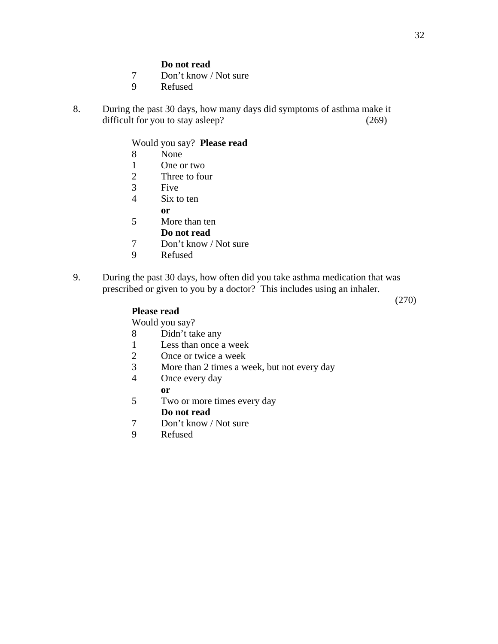#### **Do not read**

- 7 Don't know / Not sure
- 9 Refused
- 8. During the past 30 days, how many days did symptoms of asthma make it difficult for you to stay asleep? (269)

Would you say? **Please read**

- 8 None
- 1 One or two
- 2 Three to four
- 3 Five
- 4 Six to ten
- **or** 
	- 5 More than ten
		- **Do not read**
	- 7 Don't know / Not sure
	- 9 Refused
- 9. During the past 30 days, how often did you take asthma medication that was prescribed or given to you by a doctor? This includes using an inhaler.

(270)

### **Please read**

Would you say?

- 8 Didn't take any
- 1 Less than once a week
- 2 Once or twice a week
- 3 More than 2 times a week, but not every day
- 4 Once every day

#### **or**

- 5 Two or more times every day **Do not read**
- 7 Don't know / Not sure
- 9 Refused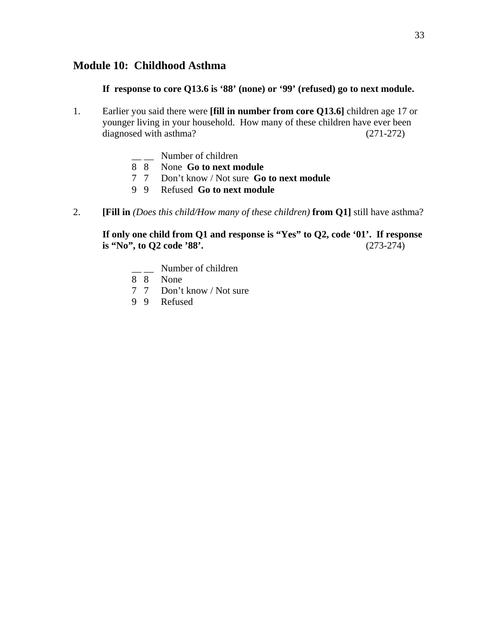### **Module 10: Childhood Asthma**

 **If response to core Q13.6 is '88' (none) or '99' (refused) go to next module.** 

- 1. Earlier you said there were **[fill in number from core Q13.6]** children age 17 or younger living in your household. How many of these children have ever been diagnosed with asthma? (271-272)
- $\frac{1}{\sqrt{2}}$  Number of children
- 8 8 None **Go to next module**
	- 7 7 Don't know / Not sure **Go to next module**
	- 9 9 Refused **Go to next module**
- 2. **[Fill in** *(Does this child/How many of these children)* **from Q1]** still have asthma?

### **If only one child from Q1 and response is "Yes" to Q2, code '01'. If response is "No", to Q2 code '88'.** (273-274)

- \_ Number of children
- 8 8 None
- 7 7 Don't know / Not sure
- 9 9 Refused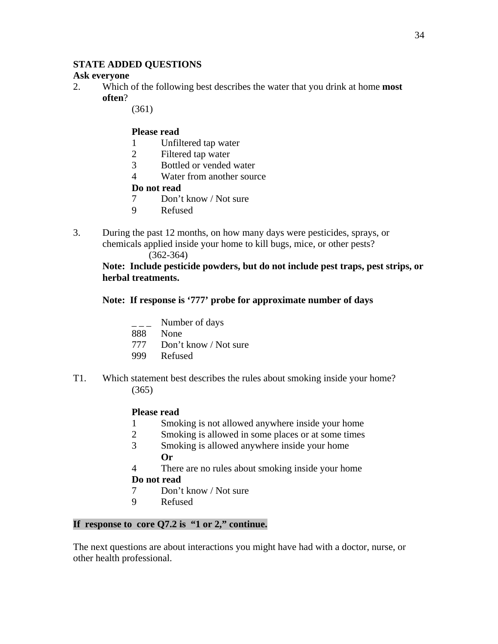### **STATE ADDED QUESTIONS**

### **Ask everyone**

- 2. Which of the following best describes the water that you drink at home **most often**?
	- (361)

### **Please read**

- 1 Unfiltered tap water
- 2 Filtered tap water
- 3 Bottled or vended water
- 4 Water from another source

### **Do not read**

- 7 Don't know / Not sure
- 9 Refused
- 3. During the past 12 months, on how many days were pesticides, sprays, or chemicals applied inside your home to kill bugs, mice, or other pests?

### (362-364)

**Note: Include pesticide powders, but do not include pest traps, pest strips, or herbal treatments.** 

### **Note: If response is '777' probe for approximate number of days**

- Number of days
- 888 None
- 777 Don't know / Not sure
- 999 Refused
- T1. Which statement best describes the rules about smoking inside your home? (365)

### **Please read**

- 1 Smoking is not allowed anywhere inside your home
- 2 Smoking is allowed in some places or at some times
- 3 Smoking is allowed anywhere inside your home **Or**
- 4 There are no rules about smoking inside your home

## **Do not read**

- 7 Don't know / Not sure
- 9 Refused

## **If response to core Q7.2 is "1 or 2," continue.**

The next questions are about interactions you might have had with a doctor, nurse, or other health professional.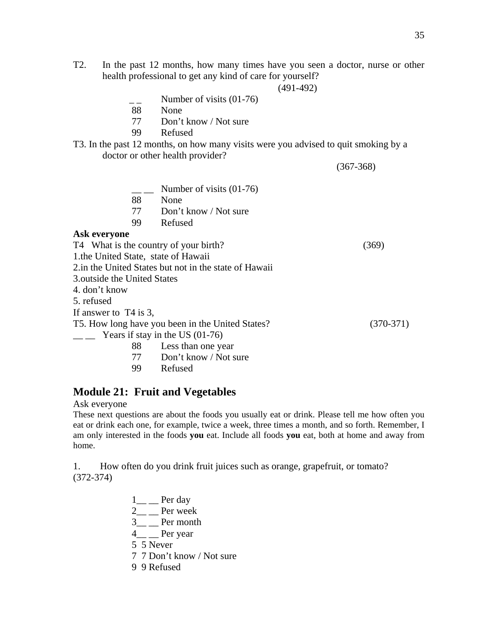T2. In the past 12 months, how many times have you seen a doctor, nurse or other health professional to get any kind of care for yourself?

(491-492)

- Number of visits  $(01-76)$
- 88 None
- 77 Don't know / Not sure
- 99 Refused
- T3. In the past 12 months, on how many visits were you advised to quit smoking by a doctor or other health provider?

(367-368)

 $\_\_$  Number of visits (01-76) 88 None 77 Don't know / Not sure 99 Refused

#### **Ask everyone**

T4 What is the country of your birth? (369)

1.the United State, state of Hawaii

2.in the United States but not in the state of Hawaii

3.outside the United States

4. don't know

5. refused

If answer to T4 is 3,

T5. How long have you been in the United States? (370-371)

- $\frac{1}{2}$  Years if stay in the US (01-76)
	- 88 Less than one year
	- 77 Don't know / Not sure
	- 99 Refused

### **Module 21: Fruit and Vegetables**

Ask everyone

These next questions are about the foods you usually eat or drink. Please tell me how often you eat or drink each one, for example, twice a week, three times a month, and so forth. Remember, I am only interested in the foods **you** eat. Include all foods **you** eat, both at home and away from home.

1. How often do you drink fruit juices such as orange, grapefruit, or tomato? (372-374)

> $1\_\_$  Per day  $2$  <u>Per</u> week 3<sup>\_</sup> Per month 4 Per year 5 5 Never 7 7 Don't know / Not sure 9 9 Refused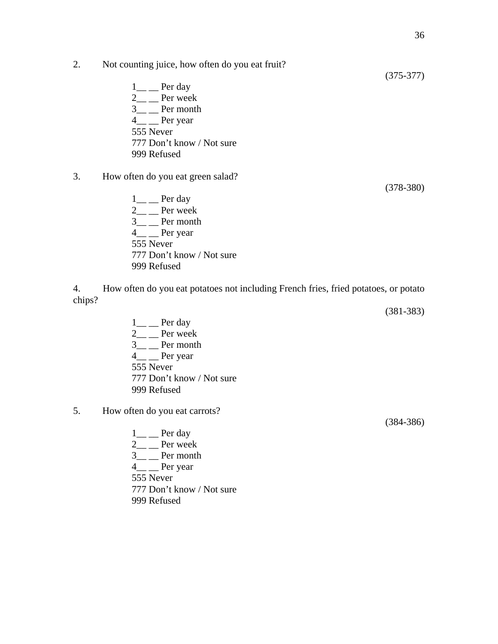(375-377)

- 2. Not counting juice, how often do you eat fruit?
	- $1$ <sub>—</sub> Per day  $2$ <sub>—</sub> Per week  $3$ <sub>—</sub> Per month  $4\_\_$  Per year 555 Never 777 Don't know / Not sure 999 Refused
- 3. How often do you eat green salad?
	- $1$ <sub>—</sub> Per day  $2$ <sub>—</sub> Per week  $3\_\_$  Per month 4\_\_ \_\_ Per year 555 Never 777 Don't know / Not sure 999 Refused

4. How often do you eat potatoes not including French fries, fried potatoes, or potato chips?

- $1\_\_$  Per day  $2\_\_$  Per week  $3$ <sub>—</sub> Per month 4\_\_ \_\_ Per year 555 Never 777 Don't know / Not sure 999 Refused
- 5. How often do you eat carrots?
	- $1\_\_$  Per day  $2 \_\_$  Per week  $3$ <sub>\_\_</sub> Per month 4\_\_ \_\_ Per year 555 Never 777 Don't know / Not sure 999 Refused

(384-386)

(378-380)

(381-383)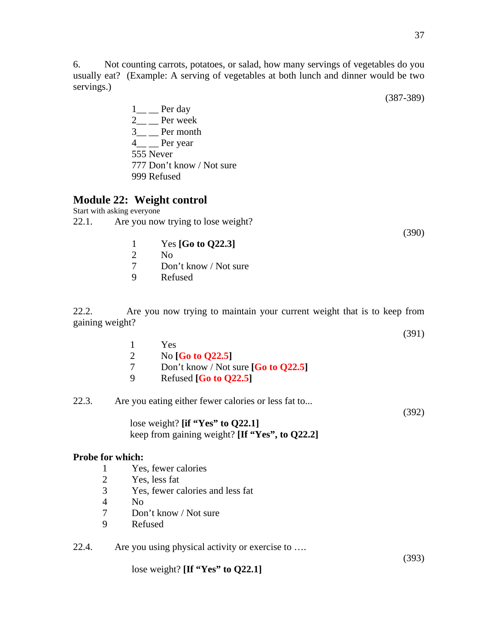6. Not counting carrots, potatoes, or salad, how many servings of vegetables do you usually eat? (Example: A serving of vegetables at both lunch and dinner would be two servings.)

(387-389)

 $1\_\_$  Per day 2<sub>\_\_</sub> \_\_ Per week  $3$ <sub>—</sub> Per month 4\_\_ \_\_ Per year 555 Never 777 Don't know / Not sure 999 Refused

## **Module 22: Weight control**

Start with asking everyone 22.1. Are you now trying to lose weight?

(392)

(393)

- 1 Yes **[Go to Q22.3]** 2 No
- 
- 7 Don't know / Not sure
- 9 Refused

22.2.Are you now trying to maintain your current weight that is to keep from gaining weight?  $(301)$ 

|   |                                       | (721) |
|---|---------------------------------------|-------|
|   | Yes                                   |       |
|   | No $[G0 to Q22.5]$                    |       |
|   | Don't know / Not sure $[G0 to Q22.5]$ |       |
| Q | Refused $[G0 to Q22.5]$               |       |
|   |                                       |       |

### 22.3. Are you eating either fewer calories or less fat to...

lose weight? **[if "Yes" to Q22.1]** keep from gaining weight? **[If "Yes", to Q22.2]** 

### **Probe for which:**

- 1 Yes, fewer calories
- 2 Yes, less fat
- 3 Yes, fewer calories and less fat
- 4 No
- 7 Don't know / Not sure
- 9 Refused
- 22.4. Are you using physical activity or exercise to ….

lose weight? **[If "Yes" to Q22.1]**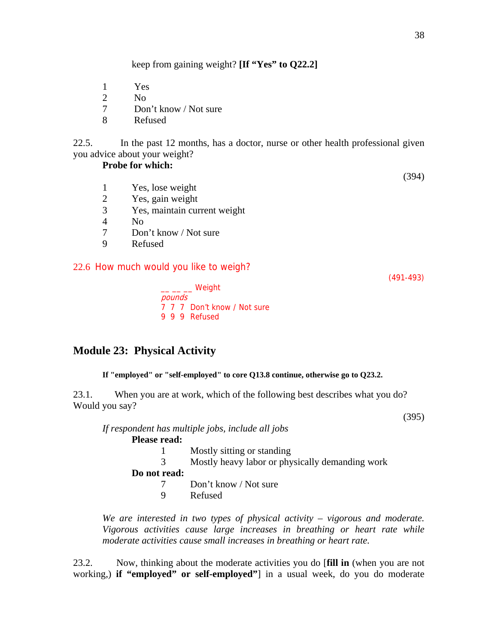keep from gaining weight? **[If "Yes" to Q22.2]**

- 1 Yes
- 2 No
- 7 Don't know / Not sure
- 8 Refused

22.5. In the past 12 months, has a doctor, nurse or other health professional given you advice about your weight?

#### **Probe for which:**

- 1 Yes, lose weight
- 2 Yes, gain weight
- 3 Yes, maintain current weight
- 4 No
- 7 Don't know / Not sure
- 9 Refused

### 22.6 How much would you like to weigh?

(491-493)

(394)

 $\_\_\_\_\_\_\_\_\$  Weight pounds 7 7 7 Don't know / Not sure 9 9 9 Refused

## **Module 23: Physical Activity**

#### **If "employed" or "self-employed" to core Q13.8 continue, otherwise go to Q23.2.**

23.1. When you are at work, which of the following best describes what you do? Would you say?

(395)

*If respondent has multiple jobs, include all jobs*  **Please read:** 

- 1 Mostly sitting or standing 3 Mostly heavy labor or physically demanding work **Do not read:**
	- 7 Don't know / Not sure
	- 9 Refused

 *We are interested in two types of physical activity – vigorous and moderate. Vigorous activities cause large increases in breathing or heart rate while moderate activities cause small increases in breathing or heart rate.* 

23.2. Now, thinking about the moderate activities you do [**fill in** (when you are not working,) **if "employed" or self-employed"**] in a usual week, do you do moderate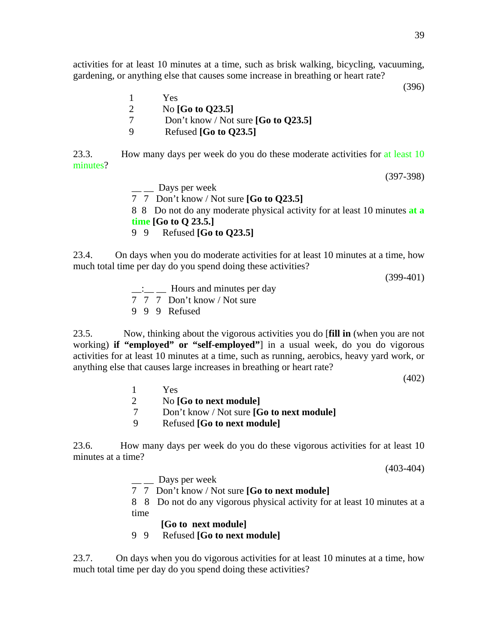activities for at least 10 minutes at a time, such as brisk walking, bicycling, vacuuming, gardening, or anything else that causes some increase in breathing or heart rate?

(396)

1 Yes 2 No **[Go to Q23.5]** 7 Don't know / Not sure **[Go to Q23.5]** 9 Refused **[Go to Q23.5]** 

23.3. How many days per week do you do these moderate activities for at least 10 minutes?

(397-398)

 $\equiv$   $\equiv$  Days per week 7 7 Don't know / Not sure **[Go to Q23.5]** 8 8 Do not do any moderate physical activity for at least 10 minutes **at a time [Go to Q 23.5.]**  9 9 Refused **[Go to Q23.5]** 

23.4. On days when you do moderate activities for at least 10 minutes at a time, how much total time per day do you spend doing these activities?

(399-401)

- :\_\_\_\_\_\_\_ Hours and minutes per day
- 7 7 7 Don't know / Not sure
- 9 9 9 Refused

23.5. Now, thinking about the vigorous activities you do [**fill in** (when you are not working) **if "employed" or "self-employed"**] in a usual week, do you do vigorous activities for at least 10 minutes at a time, such as running, aerobics, heavy yard work, or anything else that causes large increases in breathing or heart rate?

(402)

- 1 Yes
- 2 No **[Go to next module]**
- 7 Don't know / Not sure **[Go to next module]**
- 9 Refused **[Go to next module]**

23.6. How many days per week do you do these vigorous activities for at least 10 minutes at a time?

(403-404)

<sub>\_\_</sub> Days per week

7 7 Don't know / Not sure **[Go to next module]** 

8 8 Do not do any vigorous physical activity for at least 10 minutes at a time

**[Go to next module]**

9 9 Refused **[Go to next module]** 

23.7. On days when you do vigorous activities for at least 10 minutes at a time, how much total time per day do you spend doing these activities?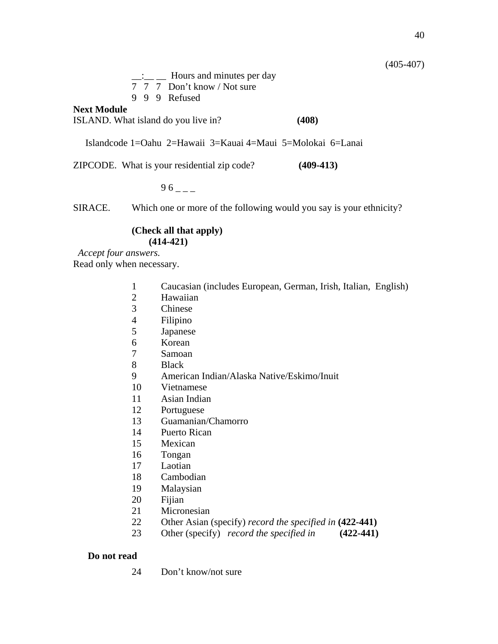(405-407)

 $\frac{1}{\sqrt{2}}$  Hours and minutes per day

- 7 7 7 Don't know / Not sure
- 9 9 9 Refused

### **Next Module**

ISLAND. What island do you live in? **(408)**

Islandcode 1=Oahu 2=Hawaii 3=Kauai 4=Maui 5=Molokai 6=Lanai

ZIPCODE. What is your residential zip code? **(409-413)** 

 $-$ 

SIRACE. Which one or more of the following would you say is your ethnicity?

### **(Check all that apply) (414-421)**

*Accept four answers.* Read only when necessary.

- Caucasian (includes European, German, Irish, Italian, English)
- Hawaiian
- Chinese
- Filipino
- Japanese
- Korean
- Samoan
- Black
- American Indian/Alaska Native/Eskimo/Inuit
- Vietnamese
- Asian Indian
- Portuguese
- Guamanian/Chamorro
- Puerto Rican
- Mexican
- Tongan
- Laotian
- Cambodian
- Malaysian
- Fijian
- Micronesian
- Other Asian (specify) *record the specified in* **(422-441)**
- Other (specify) *record the specified in* **(422-441)**

### **Do not read**

24 Don't know/not sure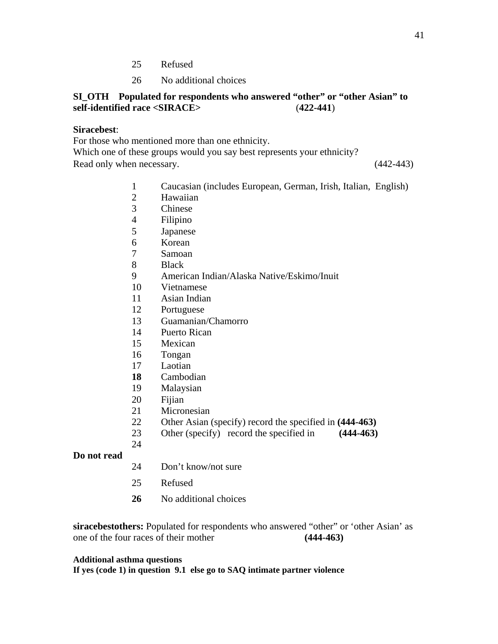- 25 Refused
- 26 No additional choices

### **SI\_OTH Populated for respondents who answered "other" or "other Asian" to self-identified race <SIRACE>** (**422-441**)

#### **Siracebest**:

For those who mentioned more than one ethnicity.

Which one of these groups would you say best represents your ethnicity? Read only when necessary. (442-443)

- Caucasian (includes European, German, Irish, Italian, English)
- Hawaiian
- Chinese
- Filipino
- Japanese
- Korean
- Samoan
- Black
- American Indian/Alaska Native/Eskimo/Inuit
- Vietnamese
- Asian Indian
- Portuguese
- Guamanian/Chamorro
- Puerto Rican
- Mexican
- Tongan
- Laotian
- Cambodian
- Malaysian
- Fijian

- Micronesian
- Other Asian (specify) record the specified in **(444-463)**
- Other (specify) record the specified in **(444-463)**

## **Do not read**

- 24 Don't know/not sure
- 25 Refused
- No additional choices

**siracebestothers:** Populated for respondents who answered "other" or 'other Asian' as one of the four races of their mother **(444-463)**

#### **Additional asthma questions**

**If yes (code 1) in question 9.1 else go to SAQ intimate partner violence**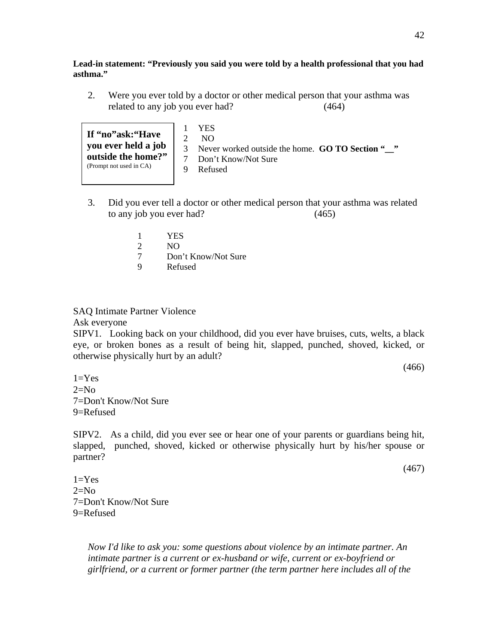**Lead-in statement: "Previously you said you were told by a health professional that you had asthma."** 

2. Were you ever told by a doctor or other medical person that your asthma was related to any job you ever had? (464)

**If "no"ask:"Have you ever held a job outside the home?"**  (Prompt not used in CA)

1 YES 2 NO

- 3 Never worked outside the home. **GO TO Section "\_\_"**
- 7 Don't Know/Not Sure
- 9 Refused
- 3. Did you ever tell a doctor or other medical person that your asthma was related to any job you ever had? (465)
	- 1 YES
	- 2 NO
	- 7 Don't Know/Not Sure
	- 9 Refused

### SAQ Intimate Partner Violence

Ask everyone

SIPV1. Looking back on your childhood, did you ever have bruises, cuts, welts, a black eye, or broken bones as a result of being hit, slapped, punched, shoved, kicked, or otherwise physically hurt by an adult?

(466)

 $1=Yes$  $2=N<sub>0</sub>$ 7=Don't Know/Not Sure 9=Refused

SIPV2. As a child, did you ever see or hear one of your parents or guardians being hit, slapped, punched, shoved, kicked or otherwise physically hurt by his/her spouse or partner?

(467)

 $1=Yes$  $2=N<sub>0</sub>$ 7=Don't Know/Not Sure 9=Refused

> *Now I'd like to ask you: some questions about violence by an intimate partner. An intimate partner is a current or ex-husband or wife, current or ex-boyfriend or girlfriend, or a current or former partner (the term partner here includes all of the*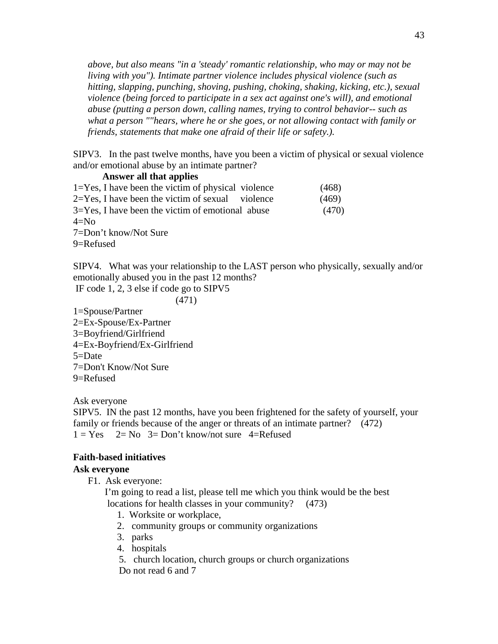*above, but also means "in a 'steady' romantic relationship, who may or may not be living with you"). Intimate partner violence includes physical violence (such as hitting, slapping, punching, shoving, pushing, choking, shaking, kicking, etc.), sexual violence (being forced to participate in a sex act against one's will), and emotional abuse (putting a person down, calling names, trying to control behavior-- such as what a person ""hears, where he or she goes, or not allowing contact with family or friends, statements that make one afraid of their life or safety.).*

SIPV3. In the past twelve months, have you been a victim of physical or sexual violence and/or emotional abuse by an intimate partner?

#### **Answer all that applies**

| $1 = Yes$ , I have been the victim of physical violence                                                                                        | (468) |
|------------------------------------------------------------------------------------------------------------------------------------------------|-------|
| $2 = Yes$ , I have been the victim of sexual violence                                                                                          | (469) |
| $3 = Yes$ , I have been the victim of emotional abuse                                                                                          | (470) |
| $4 = No$                                                                                                                                       |       |
| $7. \nabla_{11}$ $\Delta_{22}$ $\Delta_{33}$ $\Delta_{41}$ $\Delta_{52}$ $\Delta_{63}$ $\Delta_{73}$ $\Delta_{84}$ $\Delta_{10}$ $\Delta_{11}$ |       |

7=Don't know/Not Sure

9=Refused

SIPV4. What was your relationship to the LAST person who physically, sexually and/or emotionally abused you in the past 12 months?

IF code 1, 2, 3 else if code go to SIPV5

(471)

1=Spouse/Partner 2=Ex-Spouse/Ex-Partner 3=Boyfriend/Girlfriend 4=Ex-Boyfriend/Ex-Girlfriend 5=Date 7=Don't Know/Not Sure 9=Refused

Ask everyone

SIPV5. IN the past 12 months, have you been frightened for the safety of yourself, your family or friends because of the anger or threats of an intimate partner? (472)  $1 = Yes$   $2 = No$   $3 = Don't know/not sure$   $4 = Refused$ 

### **Faith-based initiatives**

#### **Ask everyone**

F1. Ask everyone:

 I'm going to read a list, please tell me which you think would be the best locations for health classes in your community? (473)

- 1. Worksite or workplace,
- 2. community groups or community organizations
- 3. parks
- 4. hospitals
- 5. church location, church groups or church organizations Do not read 6 and 7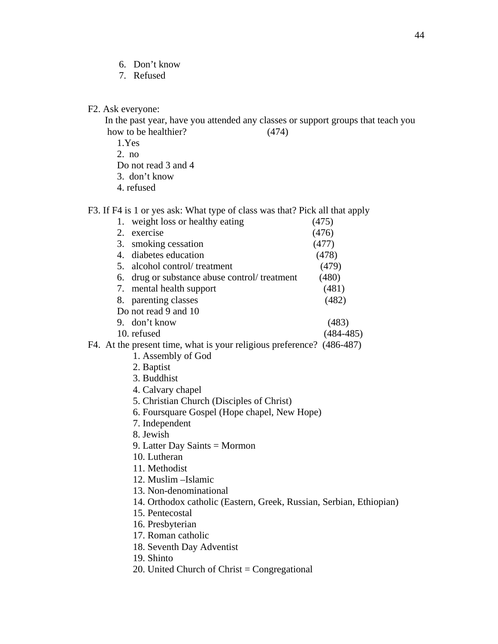- 6. Don't know
- 7. Refused

F2. Ask everyone:

 In the past year, have you attended any classes or support groups that teach you how to be healthier? (474)

1.Yes

2. no

Do not read 3 and 4

3. don't know

4. refused

F3. If F4 is 1 or yes ask: What type of class was that? Pick all that apply

| 1.                                                                    | weight loss or healthy eating                | (475)         |  |  |  |
|-----------------------------------------------------------------------|----------------------------------------------|---------------|--|--|--|
| 2.                                                                    | exercise                                     | (476)         |  |  |  |
| 3.                                                                    | smoking cessation                            | (477)         |  |  |  |
|                                                                       | 4. diabetes education                        | (478)         |  |  |  |
|                                                                       | 5. alcohol control/treatment                 | (479)         |  |  |  |
| 6.                                                                    | drug or substance abuse control/treatment    | (480)         |  |  |  |
|                                                                       | 7. mental health support                     | (481)         |  |  |  |
|                                                                       | 8. parenting classes                         | (482)         |  |  |  |
|                                                                       | Do not read 9 and 10                         |               |  |  |  |
|                                                                       | 9. don't know                                | (483)         |  |  |  |
|                                                                       | 10. refused                                  | $(484 - 485)$ |  |  |  |
| F4. At the present time, what is your religious preference? (486-487) |                                              |               |  |  |  |
|                                                                       | 1. Assembly of God                           |               |  |  |  |
|                                                                       | 2. Baptist                                   |               |  |  |  |
|                                                                       | 3. Buddhist                                  |               |  |  |  |
|                                                                       | 4. Calvary chapel                            |               |  |  |  |
|                                                                       | 5. Christian Church (Disciples of Christ)    |               |  |  |  |
|                                                                       | 6. Foursquare Gospel (Hope chapel, New Hope) |               |  |  |  |
|                                                                       | 7. Independent                               |               |  |  |  |
|                                                                       |                                              |               |  |  |  |

8. Jewish

- 9. Latter Day Saints = Mormon
- 10. Lutheran
- 11. Methodist
- 12. Muslim –Islamic
- 13. Non-denominational
- 14. Orthodox catholic (Eastern, Greek, Russian, Serbian, Ethiopian)
- 15. Pentecostal
- 16. Presbyterian
- 17. Roman catholic
- 18. Seventh Day Adventist
- 19. Shinto
- 20. United Church of Christ = Congregational